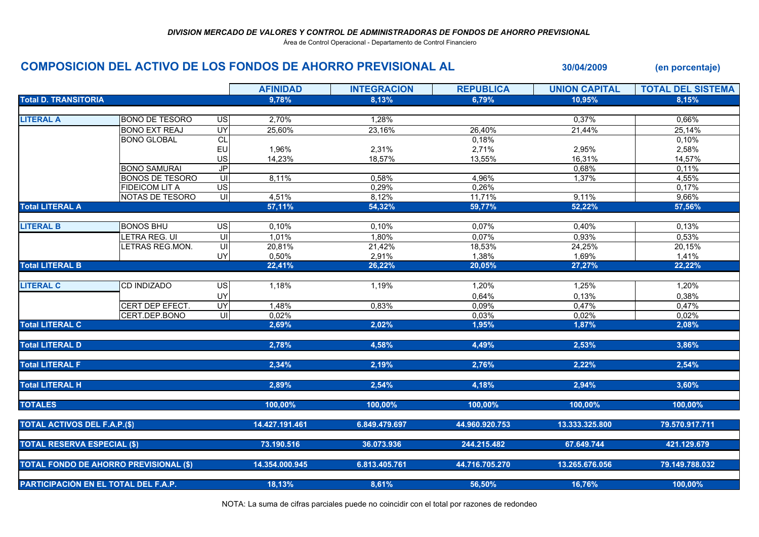Área de Control Operacional - Departamento de Control Financiero

## COMPOSICION DEL ACTIVO DE LOS FONDOS DE AHORRO PREVISIONAL AL 30/04/2009 (en porcentaje)

|                                      |                                               |                         | <b>AFINIDAD</b> | <b>INTEGRACION</b> | <b>REPUBLICA</b> | <b>UNION CAPITAL</b> | <b>TOTAL DEL SISTEMA</b> |
|--------------------------------------|-----------------------------------------------|-------------------------|-----------------|--------------------|------------------|----------------------|--------------------------|
| <b>Total D. TRANSITORIA</b>          |                                               |                         | 9,78%           | 8.13%              | 6.79%            | 10.95%               | 8.15%                    |
|                                      |                                               |                         |                 |                    |                  |                      |                          |
| <b>LITERAL A</b>                     | <b>BONO DE TESORO</b>                         | <b>US</b>               | 2,70%           | 1,28%              |                  | 0,37%                | 0,66%                    |
|                                      | <b>BONO EXT REAJ</b>                          | $\overline{\mathsf{C}}$ | 25,60%          | 23,16%             | 26,40%           | 21,44%               | 25,14%                   |
|                                      | <b>BONO GLOBAL</b>                            | <b>CL</b>               |                 |                    | 0,18%            |                      | 0,10%                    |
|                                      |                                               | EU                      | 1,96%           | 2,31%              | 2,71%            | 2,95%                | 2,58%                    |
|                                      |                                               | US                      | 14,23%          | 18,57%             | 13,55%           | 16,31%               | 14,57%                   |
|                                      | <b>BONO SAMURAI</b>                           | $J\overline{P}$         |                 |                    |                  | 0,68%                | 0,11%                    |
|                                      | <b>BONOS DE TESORO</b>                        | $\mathsf{U}\mathsf{I}$  | 8,11%           | 0,58%              | 4,96%            | 1,37%                | 4,55%                    |
|                                      | <b>FIDEICOM LIT A</b>                         | $\overline{S}$          |                 | 0,29%              | 0,26%            |                      | 0,17%                    |
|                                      | NOTAS DE TESORO                               | UI                      | 4,51%           | 8,12%              | 11,71%           | 9,11%                | 9,66%                    |
| <b>Total LITERAL A</b>               |                                               |                         | 57,11%          | 54,32%             | 59,77%           | 52,22%               | 57,56%                   |
|                                      |                                               |                         |                 |                    |                  |                      |                          |
| <b>LITERAL B</b>                     | <b>BONOS BHU</b>                              | <b>US</b>               | 0,10%           | 0,10%              | 0,07%            | 0,40%                | 0,13%                    |
|                                      | LETRA REG. UI                                 | $\overline{U}$          | 1,01%           | 1,80%              | 0.07%            | 0,93%                | 0.53%                    |
|                                      | <b>ETRAS REG.MON.</b>                         | $\overline{\mathsf{U}}$ | 20,81%          | 21,42%             | 18,53%           | 24,25%               | 20,15%                   |
|                                      |                                               | UY                      | 0,50%           | 2,91%              | 1,38%            | 1,69%                | 1,41%                    |
| <b>Total LITERAL B</b>               |                                               |                         | 22,41%          | 26,22%             | 20,05%           | 27,27%               | 22,22%                   |
|                                      |                                               |                         |                 |                    |                  |                      |                          |
| <b>LITERAL C</b>                     | <b>CD INDIZADO</b>                            | $\overline{G}$          | 1,18%           | 1,19%              | 1,20%            | 1,25%                | 1,20%                    |
|                                      |                                               | UY                      |                 |                    | 0,64%            | 0,13%                | 0,38%                    |
|                                      | CERT DEP EFECT.                               | $\overline{\mathsf{C}}$ | 1,48%           | 0.83%              | 0,09%            | 0,47%                | 0,47%                    |
|                                      | CERT.DEP.BONO                                 | UI                      | 0,02%           |                    | 0,03%            | 0,02%                | 0,02%                    |
| <b>Total LITERAL C</b>               |                                               |                         | 2,69%           | 2,02%              | 1,95%            | 1,87%                | 2,08%                    |
|                                      |                                               |                         |                 |                    |                  |                      |                          |
| <b>Total LITERAL D</b>               |                                               |                         | 2,78%           | 4,58%              | 4,49%            | 2,53%                | 3,86%                    |
|                                      |                                               |                         |                 |                    |                  |                      |                          |
| <b>Total LITERAL F</b>               |                                               |                         | 2,34%           | 2,19%              | 2,76%            | 2,22%                | 2,54%                    |
|                                      |                                               |                         |                 |                    |                  |                      |                          |
| <b>Total LITERAL H</b>               |                                               |                         | 2,89%           | 2.54%              | 4,18%            | 2,94%                | 3.60%                    |
|                                      |                                               |                         |                 |                    |                  |                      |                          |
| <b>TOTALES</b>                       |                                               |                         | 100,00%         | 100,00%            | 100,00%          | 100,00%              | 100,00%                  |
|                                      |                                               |                         |                 |                    |                  |                      |                          |
| <b>TOTAL ACTIVOS DEL F.A.P.(\$)</b>  |                                               |                         | 14.427.191.461  | 6.849.479.697      | 44.960.920.753   | 13.333.325.800       | 79.570.917.711           |
|                                      |                                               |                         |                 |                    |                  |                      |                          |
| <b>TOTAL RESERVA ESPECIAL (\$)</b>   |                                               |                         | 73.190.516      | 36.073.936         | 244.215.482      | 67.649.744           | 421.129.679              |
|                                      |                                               |                         |                 |                    |                  |                      |                          |
|                                      | <b>TOTAL FONDO DE AHORRO PREVISIONAL (\$)</b> |                         | 14.354.000.945  | 6.813.405.761      | 44.716.705.270   | 13.265.676.056       | 79.149.788.032           |
| PARTICIPACIÓN EN EL TOTAL DEL F.A.P. |                                               |                         |                 |                    |                  |                      |                          |
|                                      |                                               |                         | 18,13%          | 8,61%              | 56,50%           | 16,76%               | 100,00%                  |

NOTA: La suma de cifras parciales puede no coincidir con el total por razones de redondeo